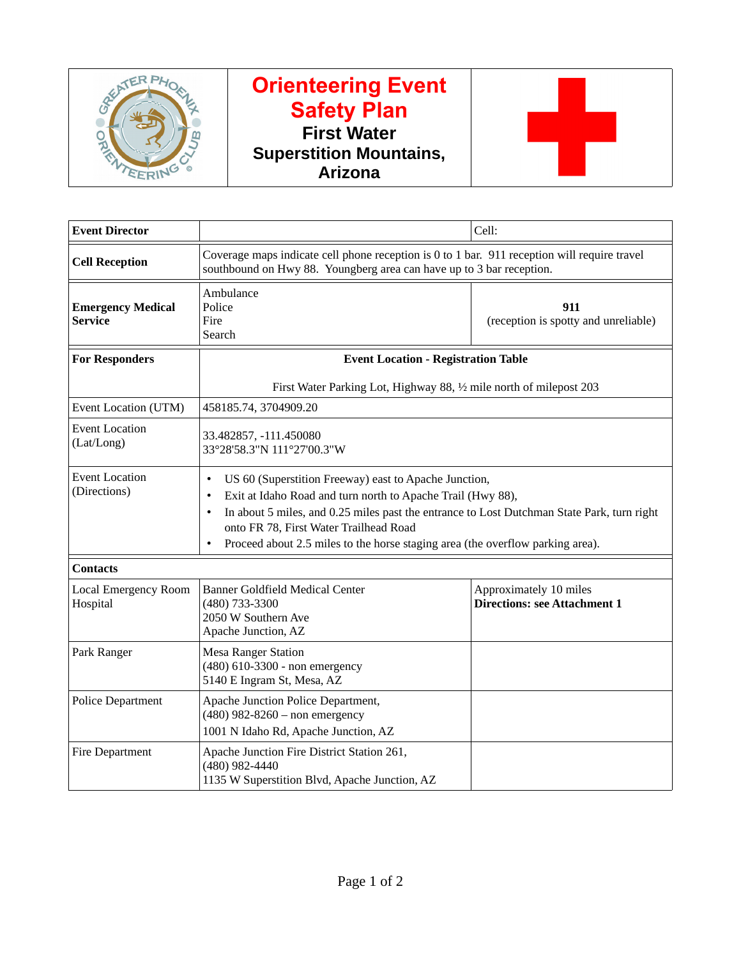

## **Orienteering Event Safety Plan First Water Superstition Mountains, Arizona**



| <b>Event Director</b>                      |                                                                                                                                                                                                                                                                                                                                                                                                    | Cell:                                                         |  |  |
|--------------------------------------------|----------------------------------------------------------------------------------------------------------------------------------------------------------------------------------------------------------------------------------------------------------------------------------------------------------------------------------------------------------------------------------------------------|---------------------------------------------------------------|--|--|
| <b>Cell Reception</b>                      | Coverage maps indicate cell phone reception is 0 to 1 bar. 911 reception will require travel<br>southbound on Hwy 88. Youngberg area can have up to 3 bar reception.                                                                                                                                                                                                                               |                                                               |  |  |
| <b>Emergency Medical</b><br><b>Service</b> | Ambulance<br>Police<br>Fire<br>Search                                                                                                                                                                                                                                                                                                                                                              | 911<br>(reception is spotty and unreliable)                   |  |  |
| <b>For Responders</b>                      | <b>Event Location - Registration Table</b>                                                                                                                                                                                                                                                                                                                                                         |                                                               |  |  |
|                                            | First Water Parking Lot, Highway 88, 1/2 mile north of milepost 203                                                                                                                                                                                                                                                                                                                                |                                                               |  |  |
| Event Location (UTM)                       | 458185.74, 3704909.20                                                                                                                                                                                                                                                                                                                                                                              |                                                               |  |  |
| <b>Event Location</b><br>(Lat/Long)        | 33.482857, -111.450080<br>33°28'58.3"N 111°27'00.3"W                                                                                                                                                                                                                                                                                                                                               |                                                               |  |  |
| <b>Event Location</b><br>(Directions)      | US 60 (Superstition Freeway) east to Apache Junction,<br>$\bullet$<br>Exit at Idaho Road and turn north to Apache Trail (Hwy 88),<br>$\bullet$<br>In about 5 miles, and 0.25 miles past the entrance to Lost Dutchman State Park, turn right<br>$\bullet$<br>onto FR 78, First Water Trailhead Road<br>Proceed about 2.5 miles to the horse staging area (the overflow parking area).<br>$\bullet$ |                                                               |  |  |
| <b>Contacts</b>                            |                                                                                                                                                                                                                                                                                                                                                                                                    |                                                               |  |  |
| Local Emergency Room<br>Hospital           | <b>Banner Goldfield Medical Center</b><br>(480) 733-3300<br>2050 W Southern Ave<br>Apache Junction, AZ                                                                                                                                                                                                                                                                                             | Approximately 10 miles<br><b>Directions: see Attachment 1</b> |  |  |
| Park Ranger                                | <b>Mesa Ranger Station</b><br>(480) 610-3300 - non emergency<br>5140 E Ingram St, Mesa, AZ                                                                                                                                                                                                                                                                                                         |                                                               |  |  |
| <b>Police Department</b>                   | Apache Junction Police Department,<br>(480) 982-8260 - non emergency<br>1001 N Idaho Rd, Apache Junction, AZ                                                                                                                                                                                                                                                                                       |                                                               |  |  |
| <b>Fire Department</b>                     | Apache Junction Fire District Station 261,<br>(480) 982-4440<br>1135 W Superstition Blvd, Apache Junction, AZ                                                                                                                                                                                                                                                                                      |                                                               |  |  |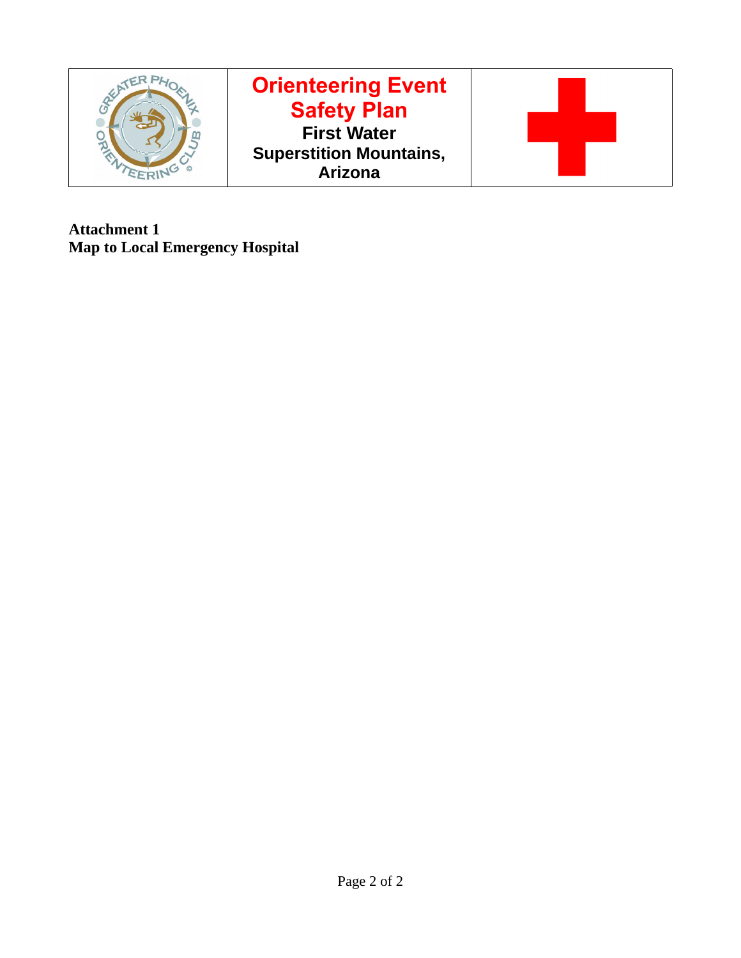

**Attachment 1 Map to Local Emergency Hospital**